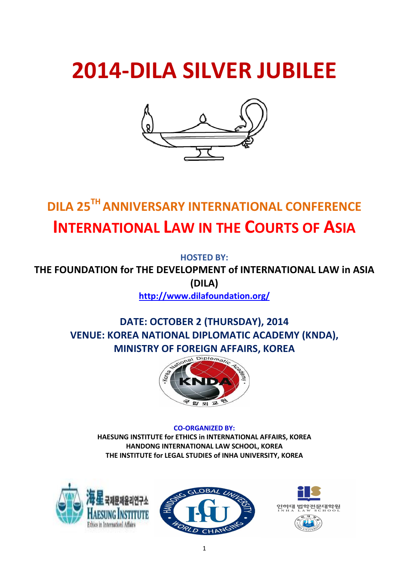# **2014-DILA SILVER JUBILEE**



# **DILA 25TH ANNIVERSARY INTERNATIONAL CONFERENCE INTERNATIONAL LAW IN THE COURTS OF ASIA**

**HOSTED BY:**

**THE FOUNDATION for THE DEVELOPMENT of INTERNATIONAL LAW in ASIA (DILA)**

**http://www.dilafoundation.org/**

### **DATE: OCTOBER 2 (THURSDAY), 2014 VENUE: KOREA NATIONAL DIPLOMATIC ACADEMY (KNDA), MINISTRY OF FOREIGN AFFAIRS, KOREA**



### **CO-ORGANIZED BY:**

**HAESUNG INSTITUTE for ETHICS in INTERNATIONAL AFFAIRS, KOREA HANDONG INTERNATIONAL LAW SCHOOL, KOREA THE INSTITUTE for LEGAL STUDIES of INHA UNIVERSITY, KOREA**





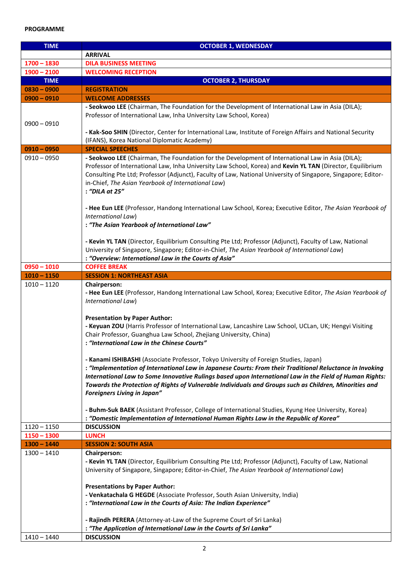### **PROGRAMME**

| <b>TIME</b>                    | <b>OCTOBER 1, WEDNESDAY</b>                                                                                                                                                                                                                                                                                                                                                                                                                                                                                                                                                                                                                                                                                                                                                                                                                                                                  |
|--------------------------------|----------------------------------------------------------------------------------------------------------------------------------------------------------------------------------------------------------------------------------------------------------------------------------------------------------------------------------------------------------------------------------------------------------------------------------------------------------------------------------------------------------------------------------------------------------------------------------------------------------------------------------------------------------------------------------------------------------------------------------------------------------------------------------------------------------------------------------------------------------------------------------------------|
|                                | <b>ARRIVAL</b>                                                                                                                                                                                                                                                                                                                                                                                                                                                                                                                                                                                                                                                                                                                                                                                                                                                                               |
| $1700 - 1830$                  | <b>DILA BUSINESS MEETING</b>                                                                                                                                                                                                                                                                                                                                                                                                                                                                                                                                                                                                                                                                                                                                                                                                                                                                 |
| $1900 - 2100$                  | <b>WELCOMING RECEPTION</b>                                                                                                                                                                                                                                                                                                                                                                                                                                                                                                                                                                                                                                                                                                                                                                                                                                                                   |
| <b>TIME</b>                    | <b>OCTOBER 2, THURSDAY</b>                                                                                                                                                                                                                                                                                                                                                                                                                                                                                                                                                                                                                                                                                                                                                                                                                                                                   |
| $0830 - 0900$                  | <b>REGISTRATION</b>                                                                                                                                                                                                                                                                                                                                                                                                                                                                                                                                                                                                                                                                                                                                                                                                                                                                          |
| $0900 - 0910$                  | <b>WELCOME ADDRESSES</b>                                                                                                                                                                                                                                                                                                                                                                                                                                                                                                                                                                                                                                                                                                                                                                                                                                                                     |
| $0900 - 0910$                  | - Seokwoo LEE (Chairman, The Foundation for the Development of International Law in Asia (DILA);<br>Professor of International Law, Inha University Law School, Korea)                                                                                                                                                                                                                                                                                                                                                                                                                                                                                                                                                                                                                                                                                                                       |
|                                | - Kak-Soo SHIN (Director, Center for International Law, Institute of Foreign Affairs and National Security<br>(IFANS), Korea National Diplomatic Academy)                                                                                                                                                                                                                                                                                                                                                                                                                                                                                                                                                                                                                                                                                                                                    |
| $0910 - 0950$                  | <b>SPECIAL SPEECHES</b>                                                                                                                                                                                                                                                                                                                                                                                                                                                                                                                                                                                                                                                                                                                                                                                                                                                                      |
| $0910 - 0950$                  | - Seokwoo LEE (Chairman, The Foundation for the Development of International Law in Asia (DILA);<br>Professor of International Law, Inha University Law School, Korea) and Kevin YL TAN (Director, Equilibrium<br>Consulting Pte Ltd; Professor (Adjunct), Faculty of Law, National University of Singapore, Singapore; Editor-<br>in-Chief, The Asian Yearbook of International Law)<br>: "DILA at 25"                                                                                                                                                                                                                                                                                                                                                                                                                                                                                      |
|                                | - Hee Eun LEE (Professor, Handong International Law School, Korea; Executive Editor, The Asian Yearbook of<br>International Law)<br>: "The Asian Yearbook of International Law"                                                                                                                                                                                                                                                                                                                                                                                                                                                                                                                                                                                                                                                                                                              |
|                                | - Kevin YL TAN (Director, Equilibrium Consulting Pte Ltd; Professor (Adjunct), Faculty of Law, National<br>University of Singapore, Singapore; Editor-in-Chief, The Asian Yearbook of International Law)<br>: "Overview: International Law in the Courts of Asia"                                                                                                                                                                                                                                                                                                                                                                                                                                                                                                                                                                                                                            |
| $0950 - 1010$                  | <b>COFFEE BREAK</b>                                                                                                                                                                                                                                                                                                                                                                                                                                                                                                                                                                                                                                                                                                                                                                                                                                                                          |
| $1010 - 1150$                  | <b>SESSION 1: NORTHEAST ASIA</b>                                                                                                                                                                                                                                                                                                                                                                                                                                                                                                                                                                                                                                                                                                                                                                                                                                                             |
| $1010 - 1120$                  | <b>Chairperson:</b><br>- Hee Eun LEE (Professor, Handong International Law School, Korea; Executive Editor, The Asian Yearbook of<br>International Law)<br><b>Presentation by Paper Author:</b><br>- Keyuan ZOU (Harris Professor of International Law, Lancashire Law School, UCLan, UK; Hengyi Visiting<br>Chair Professor, Guanghua Law School, Zhejiang University, China)<br>: "International Law in the Chinese Courts"<br>- Kanami ISHIBASHI (Associate Professor, Tokyo University of Foreign Studies, Japan)<br>: "Implementation of International Law in Japanese Courts: From their Traditional Reluctance in Invoking<br>International Law to Some Innovative Rulings based upon International Law in the Field of Human Rights:<br>Towards the Protection of Rights of Vulnerable Individuals and Groups such as Children, Minorities and<br><b>Foreigners Living in Japan"</b> |
|                                | - Buhm-Suk BAEK (Assistant Professor, College of International Studies, Kyung Hee University, Korea)<br>: "Domestic Implementation of International Human Rights Law in the Republic of Korea"                                                                                                                                                                                                                                                                                                                                                                                                                                                                                                                                                                                                                                                                                               |
| $1120 - 1150$<br>$1150 - 1300$ | <b>DISCUSSION</b>                                                                                                                                                                                                                                                                                                                                                                                                                                                                                                                                                                                                                                                                                                                                                                                                                                                                            |
| $1300 - 1440$                  | <b>LUNCH</b><br><b>SESSION 2: SOUTH ASIA</b>                                                                                                                                                                                                                                                                                                                                                                                                                                                                                                                                                                                                                                                                                                                                                                                                                                                 |
| $1300 - 1410$                  | Chairperson:                                                                                                                                                                                                                                                                                                                                                                                                                                                                                                                                                                                                                                                                                                                                                                                                                                                                                 |
|                                | - Kevin YL TAN (Director, Equilibrium Consulting Pte Ltd; Professor (Adjunct), Faculty of Law, National<br>University of Singapore, Singapore; Editor-in-Chief, The Asian Yearbook of International Law)<br><b>Presentations by Paper Author:</b><br>- Venkatachala G HEGDE (Associate Professor, South Asian University, India)                                                                                                                                                                                                                                                                                                                                                                                                                                                                                                                                                             |
|                                | : "International Law in the Courts of Asia: The Indian Experience"                                                                                                                                                                                                                                                                                                                                                                                                                                                                                                                                                                                                                                                                                                                                                                                                                           |
|                                | - Rajindh PERERA (Attorney-at-Law of the Supreme Court of Sri Lanka)<br>: "The Application of International Law in the Courts of Sri Lanka"                                                                                                                                                                                                                                                                                                                                                                                                                                                                                                                                                                                                                                                                                                                                                  |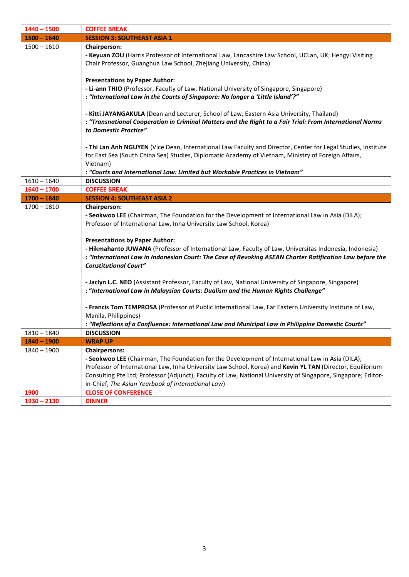| $1440 - 1500$ | <b>COFFEE BREAK</b>                                                                                                                                                                                                                                                                                                                                                                                           |
|---------------|---------------------------------------------------------------------------------------------------------------------------------------------------------------------------------------------------------------------------------------------------------------------------------------------------------------------------------------------------------------------------------------------------------------|
| $1500 - 1640$ | <b>SESSION 3: SOUTHEAST ASIA 1</b>                                                                                                                                                                                                                                                                                                                                                                            |
| $1500 - 1610$ | <b>Chairperson:</b><br>- Keyuan ZOU (Harris Professor of International Law, Lancashire Law School, UCLan, UK; Hengyi Visiting<br>Chair Professor, Guanghua Law School, Zhejiang University, China)<br><b>Presentations by Paper Author:</b>                                                                                                                                                                   |
|               | - Li-ann THIO (Professor, Faculty of Law, National University of Singapore, Singapore)<br>: "International Law in the Courts of Singapore: No longer a 'Little Island'?"                                                                                                                                                                                                                                      |
|               | - Kitti JAYANGAKULA (Dean and Lecturer, School of Law, Eastern Asia University, Thailand)<br>: "Transnational Cooperation in Criminal Matters and the Right to a Fair Trial: From International Norms<br>to Domestic Practice"                                                                                                                                                                                |
|               | - Thi Lan Anh NGUYEN (Vice Dean, International Law Faculty and Director, Center for Legal Studies, Institute<br>for East Sea (South China Sea) Studies, Diplomatic Academy of Vietnam, Ministry of Foreign Affairs,<br>Vietnam)                                                                                                                                                                               |
|               | : "Courts and International Law: Limited but Workable Practices in Vietnam"                                                                                                                                                                                                                                                                                                                                   |
| $1610 - 1640$ | <b>DISCUSSION</b>                                                                                                                                                                                                                                                                                                                                                                                             |
| $1640 - 1700$ | <b>COFFEE BREAK</b>                                                                                                                                                                                                                                                                                                                                                                                           |
| $1700 - 1840$ | <b>SESSION 4: SOUTHEAST ASIA 2</b>                                                                                                                                                                                                                                                                                                                                                                            |
| $1700 - 1810$ | <b>Chairperson:</b><br>- Seokwoo LEE (Chairman, The Foundation for the Development of International Law in Asia (DILA);<br>Professor of International Law, Inha University Law School, Korea)                                                                                                                                                                                                                 |
|               | <b>Presentations by Paper Author:</b><br>- Hikmahanto JUWANA (Professor of International Law, Faculty of Law, Universitas Indonesia, Indonesia)<br>: "International Law in Indonesian Court: The Case of Revoking ASEAN Charter Ratification Law before the<br><b>Constitutional Court"</b>                                                                                                                   |
|               | - Jaclyn L.C. NEO (Assistant Professor, Faculty of Law, National University of Singapore, Singapore)<br>: "International Law in Malaysian Courts: Dualism and the Human Rights Challenge"                                                                                                                                                                                                                     |
|               | - Francis Tom TEMPROSA (Professor of Public International Law, Far Eastern University Institute of Law,<br>Manila, Philippines)                                                                                                                                                                                                                                                                               |
|               | "Reflections of a Confluence: International Law and Municipal Law in Philippine Domestic Courts"                                                                                                                                                                                                                                                                                                              |
| $1810 - 1840$ | <b>DISCUSSION</b>                                                                                                                                                                                                                                                                                                                                                                                             |
| $1840 - 1900$ | <b>WRAP UP</b>                                                                                                                                                                                                                                                                                                                                                                                                |
| $1840 - 1900$ | <b>Chairpersons:</b><br>- Seokwoo LEE (Chairman, The Foundation for the Development of International Law in Asia (DILA);<br>Professor of International Law, Inha University Law School, Korea) and Kevin YL TAN (Director, Equilibrium<br>Consulting Pte Ltd; Professor (Adjunct), Faculty of Law, National University of Singapore, Singapore; Editor-<br>in-Chief, The Asian Yearbook of International Law) |
| 1900          | <b>CLOSE OF CONFERENCE</b>                                                                                                                                                                                                                                                                                                                                                                                    |
| $1930 - 2130$ | <b>DINNER</b>                                                                                                                                                                                                                                                                                                                                                                                                 |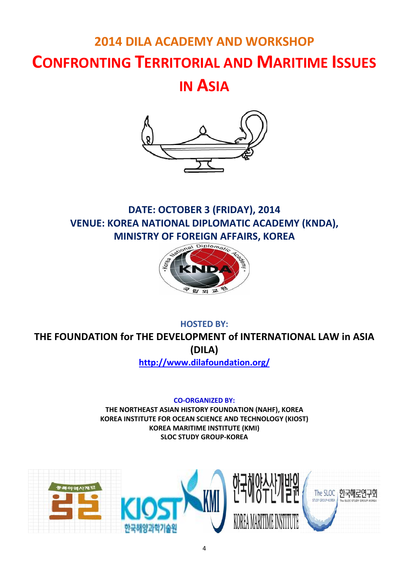# **2014 DILA ACADEMY AND WORKSHOP CONFRONTING TERRITORIAL AND MARITIME ISSUES**

**IN ASIA**



## **DATE: OCTOBER 3 (FRIDAY), 2014 VENUE: KOREA NATIONAL DIPLOMATIC ACADEMY (KNDA), MINISTRY OF FOREIGN AFFAIRS, KOREA**



### **HOSTED BY: THE FOUNDATION for THE DEVELOPMENT of INTERNATIONAL LAW in ASIA (DILA)**

**http://www.dilafoundation.org/**

**CO-ORGANIZED BY:**

**THE NORTHEAST ASIAN HISTORY FOUNDATION (NAHF), KOREA KOREA INSTITUTE FOR OCEAN SCIENCE AND TECHNOLOGY (KIOST) KOREA MARITIME INSTITUTE (KMI) SLOC STUDY GROUP-KOREA**

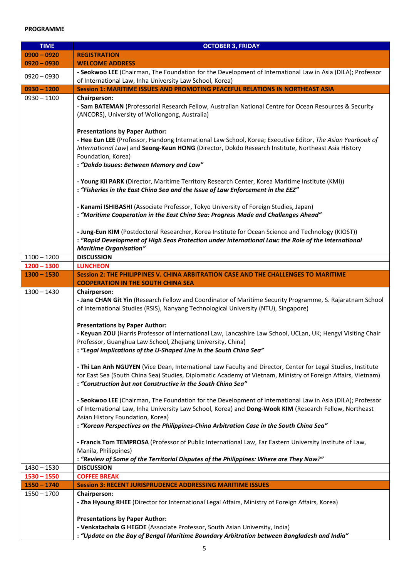### **PROGRAMME**

| <b>TIME</b>                    | <b>OCTOBER 3, FRIDAY</b>                                                                                                                                                                                                                                                                                                    |
|--------------------------------|-----------------------------------------------------------------------------------------------------------------------------------------------------------------------------------------------------------------------------------------------------------------------------------------------------------------------------|
| $0900 - 0920$                  | <b>REGISTRATION</b>                                                                                                                                                                                                                                                                                                         |
| $0920 - 0930$                  | <b>WELCOME ADDRESS</b>                                                                                                                                                                                                                                                                                                      |
| $0920 - 0930$                  | - Seokwoo LEE (Chairman, The Foundation for the Development of International Law in Asia (DILA); Professor<br>of International Law, Inha University Law School, Korea)                                                                                                                                                      |
| $0930 - 1200$                  | <b>Session 1: MARITIME ISSUES AND PROMOTING PEACEFUL RELATIONS IN NORTHEAST ASIA</b>                                                                                                                                                                                                                                        |
| $0930 - 1100$                  | <b>Chairperson:</b><br>- Sam BATEMAN (Professorial Research Fellow, Australian National Centre for Ocean Resources & Security<br>(ANCORS), University of Wollongong, Australia)                                                                                                                                             |
|                                | <b>Presentations by Paper Author:</b><br>- Hee Eun LEE (Professor, Handong International Law School, Korea; Executive Editor, The Asian Yearbook of<br>International Law) and Seong-Keun HONG (Director, Dokdo Research Institute, Northeast Asia History<br>Foundation, Korea)<br>: "Dokdo Issues: Between Memory and Law" |
|                                | - Young Kil PARK (Director, Maritime Territory Research Center, Korea Maritime Institute (KMI))<br>: "Fisheries in the East China Sea and the Issue of Law Enforcement in the EEZ"                                                                                                                                          |
|                                | - Kanami ISHIBASHI (Associate Professor, Tokyo University of Foreign Studies, Japan)<br>: "Maritime Cooperation in the East China Sea: Progress Made and Challenges Ahead"                                                                                                                                                  |
|                                | - Jung-Eun KIM (Postdoctoral Researcher, Korea Institute for Ocean Science and Technology (KIOST))<br>: "Rapid Development of High Seas Protection under International Law: the Role of the International<br><b>Maritime Organisation"</b>                                                                                  |
| $1100 - 1200$                  | <b>DISCUSSION</b>                                                                                                                                                                                                                                                                                                           |
| $1200 - 1300$                  | <b>LUNCHEON</b>                                                                                                                                                                                                                                                                                                             |
| $1300 - 1530$                  | Session 2: THE PHILIPPINES V. CHINA ARBITRATION CASE AND THE CHALLENGES TO MARITIME                                                                                                                                                                                                                                         |
|                                | <b>COOPERATION IN THE SOUTH CHINA SEA</b>                                                                                                                                                                                                                                                                                   |
| $1300 - 1430$                  | <b>Chairperson:</b><br>- Jane CHAN Git Yin (Research Fellow and Coordinator of Maritime Security Programme, S. Rajaratnam School<br>of International Studies (RSIS), Nanyang Technological University (NTU), Singapore)                                                                                                     |
|                                | <b>Presentations by Paper Author:</b><br>- Keyuan ZOU (Harris Professor of International Law, Lancashire Law School, UCLan, UK; Hengyi Visiting Chair<br>Professor, Guanghua Law School, Zhejiang University, China)<br>: "Legal Implications of the U-Shaped Line in the South China Sea"                                  |
|                                | - Thi Lan Anh NGUYEN (Vice Dean, International Law Faculty and Director, Center for Legal Studies, Institute<br>for East Sea (South China Sea) Studies, Diplomatic Academy of Vietnam, Ministry of Foreign Affairs, Vietnam)<br>: "Construction but not Constructive in the South China Sea"                                |
|                                | - Seokwoo LEE (Chairman, The Foundation for the Development of International Law in Asia (DILA); Professor<br>of International Law, Inha University Law School, Korea) and Dong-Wook KIM (Research Fellow, Northeast<br>Asian History Foundation, Korea)                                                                    |
|                                | : "Korean Perspectives on the Philippines-China Arbitration Case in the South China Sea"                                                                                                                                                                                                                                    |
|                                | - Francis Tom TEMPROSA (Professor of Public International Law, Far Eastern University Institute of Law,<br>Manila, Philippines)                                                                                                                                                                                             |
|                                | : "Review of Some of the Territorial Disputes of the Philippines: Where are They Now?"                                                                                                                                                                                                                                      |
| $1430 - 1530$<br>$1530 - 1550$ | <b>DISCUSSION</b><br><b>COFFEE BREAK</b>                                                                                                                                                                                                                                                                                    |
| $1550 - 1740$                  | <b>Session 3: RECENT JURISPRUDENCE ADDRESSING MARITIME ISSUES</b>                                                                                                                                                                                                                                                           |
| $1550 - 1700$                  | <b>Chairperson:</b><br>- Zha Hyoung RHEE (Director for International Legal Affairs, Ministry of Foreign Affairs, Korea)                                                                                                                                                                                                     |
|                                | <b>Presentations by Paper Author:</b>                                                                                                                                                                                                                                                                                       |
|                                | - Venkatachala G HEGDE (Associate Professor, South Asian University, India)<br>: "Update on the Bay of Bengal Maritime Boundary Arbitration between Bangladesh and India"                                                                                                                                                   |
|                                |                                                                                                                                                                                                                                                                                                                             |